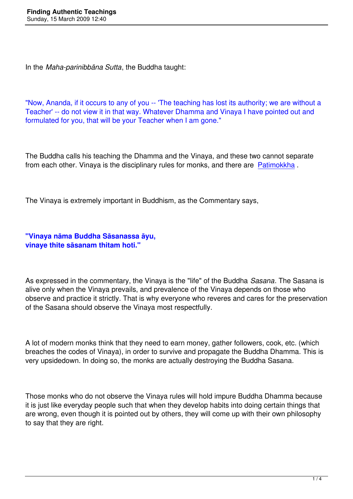In the *Maha-parinibbāna Sutta*, the Buddha taught:

"Now, Ananda, if it occurs to any of you -- 'The teaching has lost its authority; we are without a Teacher' -- do not view it in that way. Whatever Dhamma and Vinaya I have pointed out and formulated for you, that will be your Teacher when I am gone."

The Buddha calls his teaching the Dhamma and the Vinaya, and these two cannot separate from each other. Vinaya is the disciplinary rules for monks, and there are Patimokkha.

The Vinaya is extremely important in Buddhism, as the Commentary says[,](http://www.yellowrobe.com/practice/the-patimokkha.html)

**"Vinaya nāma Buddha Sāsanassa āyu, vinaye thite sāsanam thitam hoti."**

As expressed in the commentary, the Vinaya is the "life" of the Buddha *Sasana*. The Sasana is alive only when the Vinaya prevails, and prevalence of the Vinaya depends on those who observe and practice it strictly. That is why everyone who reveres and cares for the preservation of the Sasana should observe the Vinaya most respectfully.

A lot of modern monks think that they need to earn money, gather followers, cook, etc. (which breaches the codes of Vinaya), in order to survive and propagate the Buddha Dhamma. This is very upsidedown. In doing so, the monks are actually destroying the Buddha Sasana.

Those monks who do not observe the Vinaya rules will hold impure Buddha Dhamma because it is just like everyday people such that when they develop habits into doing certain things that are wrong, even though it is pointed out by others, they will come up with their own philosophy to say that they are right.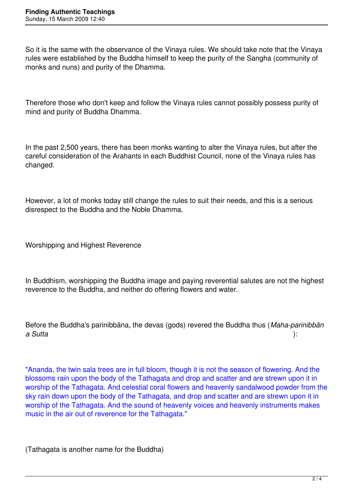So it is the same with the observance of the Vinaya rules. We should take note that the Vinaya rules were established by the Buddha himself to keep the purity of the Sangha (community of monks and nuns) and purity of the Dhamma.

Therefore those who don't keep and follow the Vinaya rules cannot possibly possess purity of mind and purity of Buddha Dhamma.

In the past 2,500 years, there has been monks wanting to alter the Vinaya rules, but after the careful consideration of the Arahants in each Buddhist Council, none of the Vinaya rules has changed.

However, a lot of monks today still change the rules to suit their needs, and this is a serious disrespect to the Buddha and the Noble Dhamma.

Worshipping and Highest Reverence

In Buddhism, worshipping the Buddha image and paying reverential salutes are not the highest reverence to the Buddha, and neither do offering flowers and water.

Before the Buddha's parinibbāna, the devas (gods) revered the Buddha thus (*Maha-parinibbān a Sutta* ):

"Ananda, the twin sala trees are in full bloom, though it is not the season of flowering. And the blossoms rain upon the body of the Tathagata and drop and scatter and are strewn upon it in worship of the Tathagata. And celestial coral flowers and heavenly sandalwood powder from the sky rain down upon the body of the Tathagata, and drop and scatter and are strewn upon it in worship of the Tathagata. And the sound of heavenly voices and heavenly instruments makes music in the air out of reverence for the Tathagata."

(Tathagata is another name for the Buddha)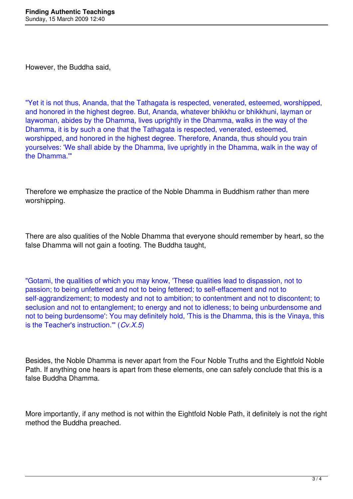However, the Buddha said,

"Yet it is not thus, Ananda, that the Tathagata is respected, venerated, esteemed, worshipped, and honored in the highest degree. But, Ananda, whatever bhikkhu or bhikkhuni, layman or laywoman, abides by the Dhamma, lives uprightly in the Dhamma, walks in the way of the Dhamma, it is by such a one that the Tathagata is respected, venerated, esteemed, worshipped, and honored in the highest degree. Therefore, Ananda, thus should you train yourselves: 'We shall abide by the Dhamma, live uprightly in the Dhamma, walk in the way of the Dhamma.'"

Therefore we emphasize the practice of the Noble Dhamma in Buddhism rather than mere worshipping.

There are also qualities of the Noble Dhamma that everyone should remember by heart, so the false Dhamma will not gain a footing. The Buddha taught,

"Gotami, the qualities of which you may know, 'These qualities lead to dispassion, not to passion; to being unfettered and not to being fettered; to self-effacement and not to self-aggrandizement; to modesty and not to ambition; to contentment and not to discontent; to seclusion and not to entanglement; to energy and not to idleness; to being unburdensome and not to being burdensome': You may definitely hold, 'This is the Dhamma, this is the Vinaya, this is the Teacher's instruction.'" (*Cv.X.5*)

Besides, the Noble Dhamma is never apart from the Four Noble Truths and the Eightfold Noble Path. If anything one hears is apart from these elements, one can safely conclude that this is a false Buddha Dhamma.

More importantly, if any method is not within the Eightfold Noble Path, it definitely is not the right method the Buddha preached.